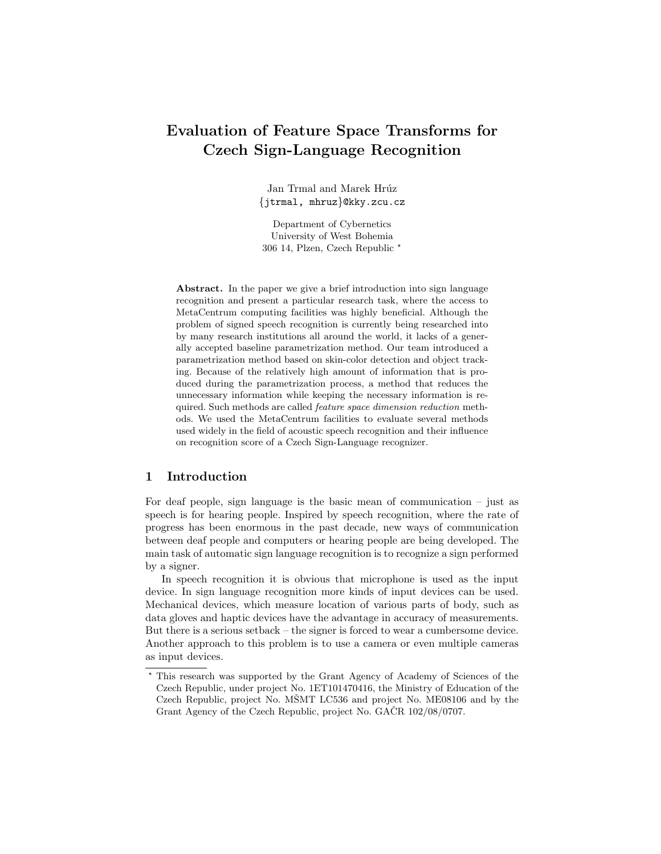# Evaluation of Feature Space Transforms for Czech Sign-Language Recognition

Jan Trmal and Marek Hrúz {jtrmal, mhruz}@kky.zcu.cz

Department of Cybernetics University of West Bohemia 306 14, Plzen, Czech Republic ?

Abstract. In the paper we give a brief introduction into sign language recognition and present a particular research task, where the access to MetaCentrum computing facilities was highly beneficial. Although the problem of signed speech recognition is currently being researched into by many research institutions all around the world, it lacks of a generally accepted baseline parametrization method. Our team introduced a parametrization method based on skin-color detection and object tracking. Because of the relatively high amount of information that is produced during the parametrization process, a method that reduces the unnecessary information while keeping the necessary information is required. Such methods are called feature space dimension reduction methods. We used the MetaCentrum facilities to evaluate several methods used widely in the field of acoustic speech recognition and their influence on recognition score of a Czech Sign-Language recognizer.

#### 1 Introduction

For deaf people, sign language is the basic mean of communication – just as speech is for hearing people. Inspired by speech recognition, where the rate of progress has been enormous in the past decade, new ways of communication between deaf people and computers or hearing people are being developed. The main task of automatic sign language recognition is to recognize a sign performed by a signer.

In speech recognition it is obvious that microphone is used as the input device. In sign language recognition more kinds of input devices can be used. Mechanical devices, which measure location of various parts of body, such as data gloves and haptic devices have the advantage in accuracy of measurements. But there is a serious setback – the signer is forced to wear a cumbersome device. Another approach to this problem is to use a camera or even multiple cameras as input devices.

<sup>?</sup> This research was supported by the Grant Agency of Academy of Sciences of the Czech Republic, under project No. 1ET101470416, the Ministry of Education of the Czech Republic, project No. MŠMT LC536 and project No. ME08106 and by the Grant Agency of the Czech Republic, project No. GACR 102/08/0707.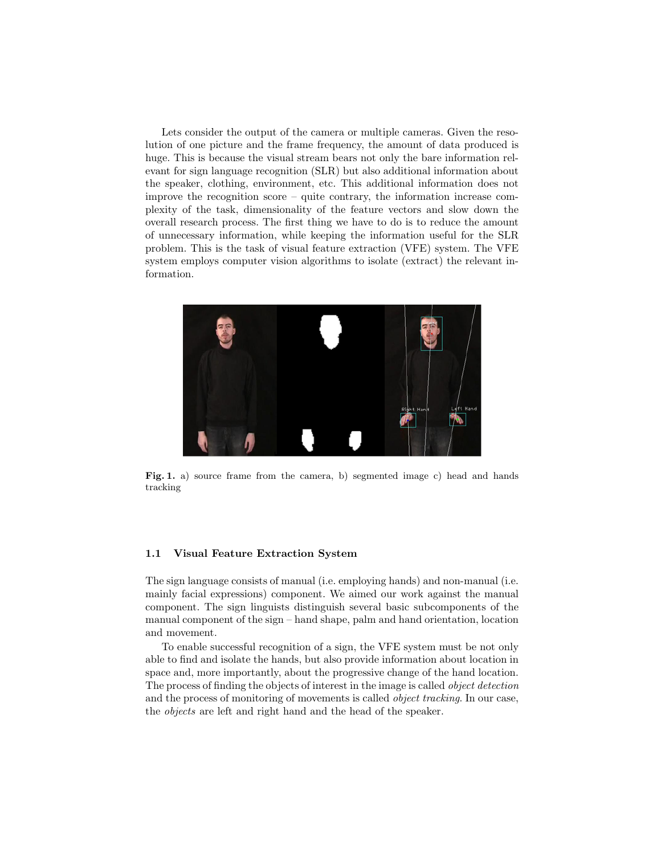Lets consider the output of the camera or multiple cameras. Given the resolution of one picture and the frame frequency, the amount of data produced is huge. This is because the visual stream bears not only the bare information relevant for sign language recognition (SLR) but also additional information about the speaker, clothing, environment, etc. This additional information does not improve the recognition score – quite contrary, the information increase complexity of the task, dimensionality of the feature vectors and slow down the overall research process. The first thing we have to do is to reduce the amount of unnecessary information, while keeping the information useful for the SLR problem. This is the task of visual feature extraction (VFE) system. The VFE system employs computer vision algorithms to isolate (extract) the relevant information.



Fig. 1. a) source frame from the camera, b) segmented image c) head and hands tracking

#### 1.1 Visual Feature Extraction System

The sign language consists of manual (i.e. employing hands) and non-manual (i.e. mainly facial expressions) component. We aimed our work against the manual component. The sign linguists distinguish several basic subcomponents of the manual component of the sign – hand shape, palm and hand orientation, location and movement.

To enable successful recognition of a sign, the VFE system must be not only able to find and isolate the hands, but also provide information about location in space and, more importantly, about the progressive change of the hand location. The process of finding the objects of interest in the image is called object detection and the process of monitoring of movements is called object tracking. In our case, the objects are left and right hand and the head of the speaker.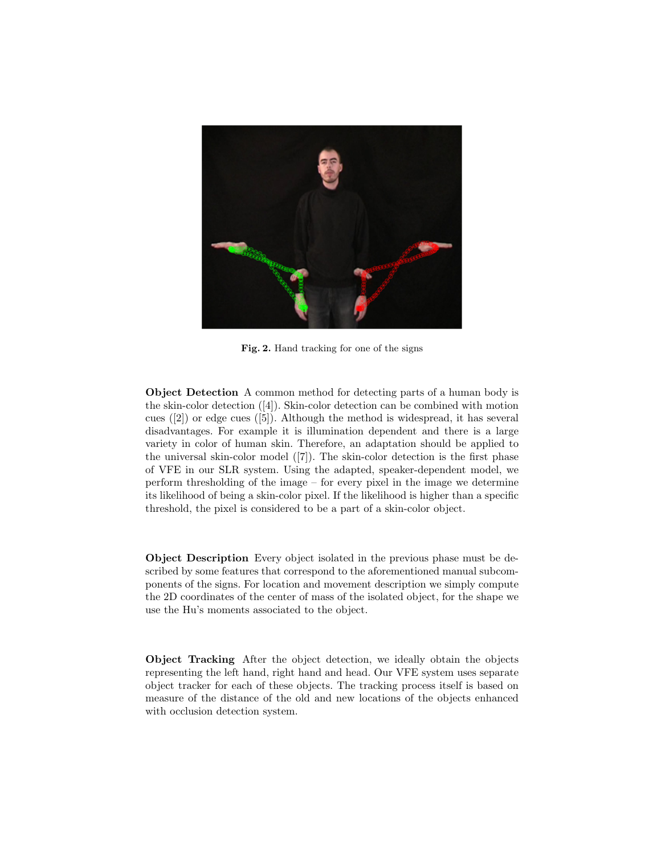

Fig. 2. Hand tracking for one of the signs

Object Detection A common method for detecting parts of a human body is the skin-color detection ([4]). Skin-color detection can be combined with motion cues  $([2])$  or edge cues  $([5])$ . Although the method is widespread, it has several disadvantages. For example it is illumination dependent and there is a large variety in color of human skin. Therefore, an adaptation should be applied to the universal skin-color model ([7]). The skin-color detection is the first phase of VFE in our SLR system. Using the adapted, speaker-dependent model, we perform thresholding of the image – for every pixel in the image we determine its likelihood of being a skin-color pixel. If the likelihood is higher than a specific threshold, the pixel is considered to be a part of a skin-color object.

Object Description Every object isolated in the previous phase must be described by some features that correspond to the aforementioned manual subcomponents of the signs. For location and movement description we simply compute the 2D coordinates of the center of mass of the isolated object, for the shape we use the Hu's moments associated to the object.

Object Tracking After the object detection, we ideally obtain the objects representing the left hand, right hand and head. Our VFE system uses separate object tracker for each of these objects. The tracking process itself is based on measure of the distance of the old and new locations of the objects enhanced with occlusion detection system.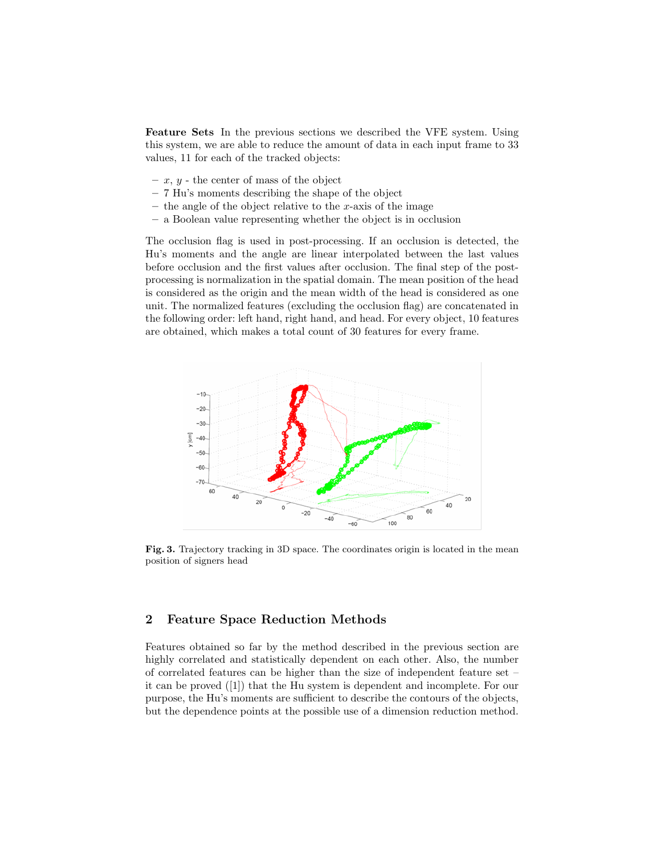Feature Sets In the previous sections we described the VFE system. Using this system, we are able to reduce the amount of data in each input frame to 33 values, 11 for each of the tracked objects:

- $x, y$  the center of mass of the object
- 7 Hu's moments describing the shape of the object
- the angle of the object relative to the x-axis of the image
- a Boolean value representing whether the object is in occlusion

The occlusion flag is used in post-processing. If an occlusion is detected, the Hu's moments and the angle are linear interpolated between the last values before occlusion and the first values after occlusion. The final step of the postprocessing is normalization in the spatial domain. The mean position of the head is considered as the origin and the mean width of the head is considered as one unit. The normalized features (excluding the occlusion flag) are concatenated in the following order: left hand, right hand, and head. For every object, 10 features are obtained, which makes a total count of 30 features for every frame.



Fig. 3. Trajectory tracking in 3D space. The coordinates origin is located in the mean position of signers head

## 2 Feature Space Reduction Methods

Features obtained so far by the method described in the previous section are highly correlated and statistically dependent on each other. Also, the number of correlated features can be higher than the size of independent feature set – it can be proved ([1]) that the Hu system is dependent and incomplete. For our purpose, the Hu's moments are sufficient to describe the contours of the objects, but the dependence points at the possible use of a dimension reduction method.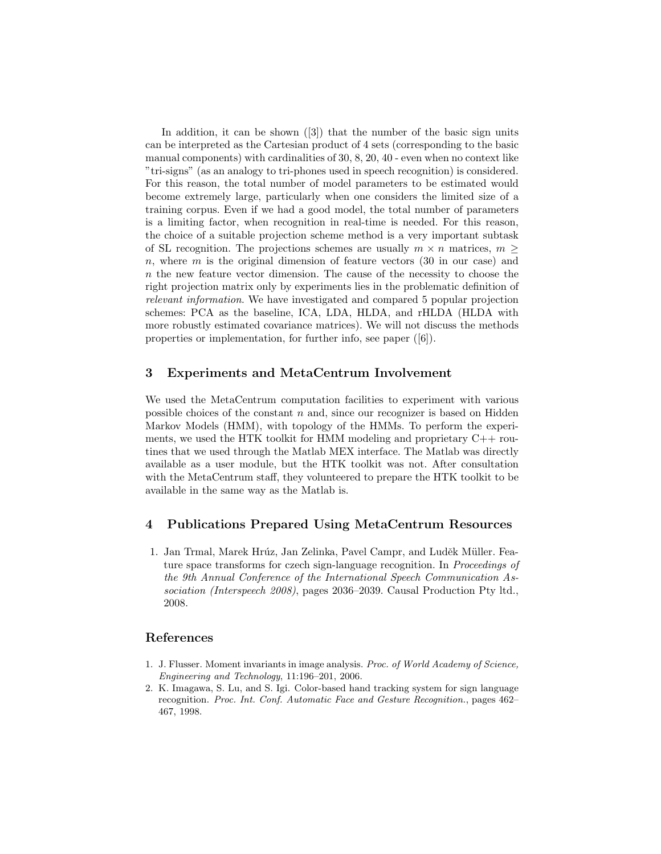In addition, it can be shown ([3]) that the number of the basic sign units can be interpreted as the Cartesian product of 4 sets (corresponding to the basic manual components) with cardinalities of 30, 8, 20, 40 - even when no context like "tri-signs" (as an analogy to tri-phones used in speech recognition) is considered. For this reason, the total number of model parameters to be estimated would become extremely large, particularly when one considers the limited size of a training corpus. Even if we had a good model, the total number of parameters is a limiting factor, when recognition in real-time is needed. For this reason, the choice of a suitable projection scheme method is a very important subtask of SL recognition. The projections schemes are usually  $m \times n$  matrices,  $m \geq$  $n$ , where  $m$  is the original dimension of feature vectors  $(30 \text{ in our case})$  and n the new feature vector dimension. The cause of the necessity to choose the right projection matrix only by experiments lies in the problematic definition of relevant information. We have investigated and compared 5 popular projection schemes: PCA as the baseline, ICA, LDA, HLDA, and rHLDA (HLDA with more robustly estimated covariance matrices). We will not discuss the methods properties or implementation, for further info, see paper ([6]).

## 3 Experiments and MetaCentrum Involvement

We used the MetaCentrum computation facilities to experiment with various possible choices of the constant  $n$  and, since our recognizer is based on Hidden Markov Models (HMM), with topology of the HMMs. To perform the experiments, we used the HTK toolkit for HMM modeling and proprietary C++ routines that we used through the Matlab MEX interface. The Matlab was directly available as a user module, but the HTK toolkit was not. After consultation with the MetaCentrum staff, they volunteered to prepare the HTK toolkit to be available in the same way as the Matlab is.

## 4 Publications Prepared Using MetaCentrum Resources

1. Jan Trmal, Marek Hrúz, Jan Zelinka, Pavel Campr, and Luděk Müller. Feature space transforms for czech sign-language recognition. In Proceedings of the 9th Annual Conference of the International Speech Communication Association (Interspeech 2008), pages 2036–2039. Causal Production Pty ltd., 2008.

#### References

- 1. J. Flusser. Moment invariants in image analysis. Proc. of World Academy of Science, Engineering and Technology, 11:196–201, 2006.
- 2. K. Imagawa, S. Lu, and S. Igi. Color-based hand tracking system for sign language recognition. Proc. Int. Conf. Automatic Face and Gesture Recognition., pages 462– 467, 1998.